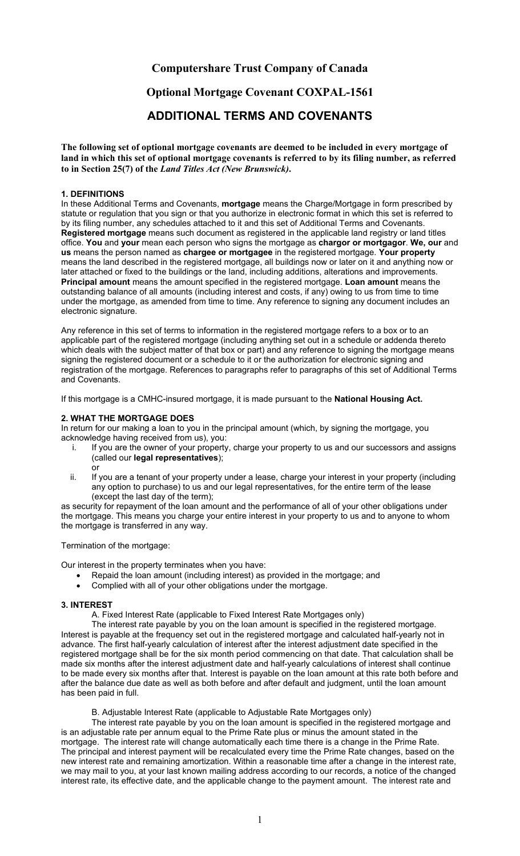# **Computershare Trust Company of Canada**

# **Optional Mortgage Covenant COXPAL-1561**

# **ADDITIONAL TERMS AND COVENANTS**

**The following set of optional mortgage covenants are deemed to be included in every mortgage of**  land in which this set of optional mortgage covenants is referred to by its filing number, as referred **to in Section 25(7) of the** *Land Titles Act (New Brunswick)***.** 

## **1. DEFINITIONS**

In these Additional Terms and Covenants, **mortgage** means the Charge/Mortgage in form prescribed by statute or regulation that you sign or that you authorize in electronic format in which this set is referred to by its filing number, any schedules attached to it and this set of Additional Terms and Covenants. **Registered mortgage** means such document as registered in the applicable land registry or land titles office. **You** and **your** mean each person who signs the mortgage as **chargor or mortgagor**. **We, our** and **us** means the person named as **chargee or mortgagee** in the registered mortgage. **Your property**  means the land described in the registered mortgage, all buildings now or later on it and anything now or later attached or fixed to the buildings or the land, including additions, alterations and improvements. **Principal amount** means the amount specified in the registered mortgage. **Loan amount** means the outstanding balance of all amounts (including interest and costs, if any) owing to us from time to time under the mortgage, as amended from time to time. Any reference to signing any document includes an electronic signature.

Any reference in this set of terms to information in the registered mortgage refers to a box or to an applicable part of the registered mortgage (including anything set out in a schedule or addenda thereto which deals with the subject matter of that box or part) and any reference to signing the mortgage means signing the registered document or a schedule to it or the authorization for electronic signing and registration of the mortgage. References to paragraphs refer to paragraphs of this set of Additional Terms and Covenants.

If this mortgage is a CMHC-insured mortgage, it is made pursuant to the **National Housing Act.** 

#### **2. WHAT THE MORTGAGE DOES**

In return for our making a loan to you in the principal amount (which, by signing the mortgage, you acknowledge having received from us), you:

- i. If you are the owner of your property, charge your property to us and our successors and assigns (called our **legal representatives**); or
- ii. If you are a tenant of your property under a lease, charge your interest in your property (including any option to purchase) to us and our legal representatives, for the entire term of the lease (except the last day of the term);

as security for repayment of the loan amount and the performance of all of your other obligations under the mortgage. This means you charge your entire interest in your property to us and to anyone to whom the mortgage is transferred in any way.

Termination of the mortgage:

Our interest in the property terminates when you have:

- Repaid the loan amount (including interest) as provided in the mortgage; and
- Complied with all of your other obligations under the mortgage.

#### **3. INTEREST**

A. Fixed Interest Rate (applicable to Fixed Interest Rate Mortgages only)

The interest rate payable by you on the loan amount is specified in the registered mortgage. Interest is payable at the frequency set out in the registered mortgage and calculated half-yearly not in advance. The first half-yearly calculation of interest after the interest adjustment date specified in the registered mortgage shall be for the six month period commencing on that date. That calculation shall be made six months after the interest adjustment date and half-yearly calculations of interest shall continue to be made every six months after that. Interest is payable on the loan amount at this rate both before and after the balance due date as well as both before and after default and judgment, until the loan amount has been paid in full.

B. Adjustable Interest Rate (applicable to Adjustable Rate Mortgages only)

The interest rate payable by you on the loan amount is specified in the registered mortgage and is an adjustable rate per annum equal to the Prime Rate plus or minus the amount stated in the mortgage. The interest rate will change automatically each time there is a change in the Prime Rate. The principal and interest payment will be recalculated every time the Prime Rate changes, based on the new interest rate and remaining amortization. Within a reasonable time after a change in the interest rate, we may mail to you, at your last known mailing address according to our records, a notice of the changed interest rate, its effective date, and the applicable change to the payment amount. The interest rate and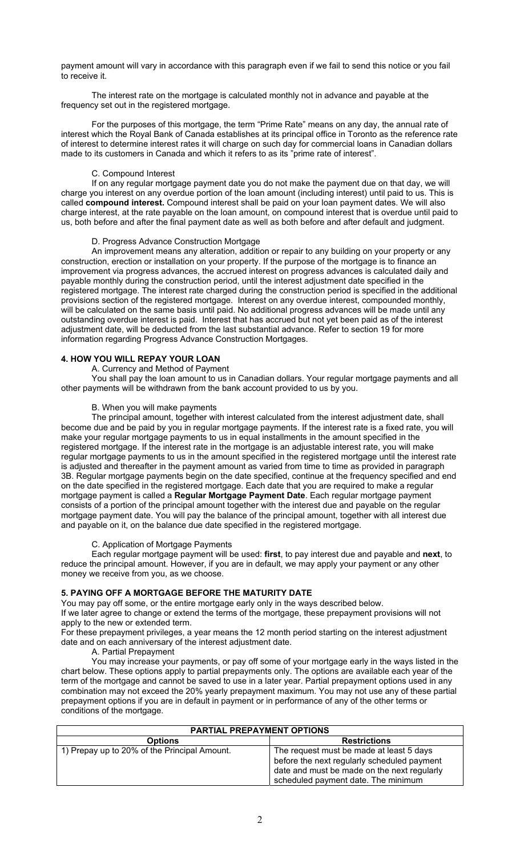payment amount will vary in accordance with this paragraph even if we fail to send this notice or you fail to receive it.

The interest rate on the mortgage is calculated monthly not in advance and payable at the frequency set out in the registered mortgage.

For the purposes of this mortgage, the term "Prime Rate" means on any day, the annual rate of interest which the Royal Bank of Canada establishes at its principal office in Toronto as the reference rate of interest to determine interest rates it will charge on such day for commercial loans in Canadian dollars made to its customers in Canada and which it refers to as its "prime rate of interest".

## C. Compound Interest

If on any regular mortgage payment date you do not make the payment due on that day, we will charge you interest on any overdue portion of the loan amount (including interest) until paid to us. This is called **compound interest.** Compound interest shall be paid on your loan payment dates. We will also charge interest, at the rate payable on the loan amount, on compound interest that is overdue until paid to us, both before and after the final payment date as well as both before and after default and judgment.

## D. Progress Advance Construction Mortgage

An improvement means any alteration, addition or repair to any building on your property or any construction, erection or installation on your property. If the purpose of the mortgage is to finance an improvement via progress advances, the accrued interest on progress advances is calculated daily and payable monthly during the construction period, until the interest adjustment date specified in the registered mortgage. The interest rate charged during the construction period is specified in the additional provisions section of the registered mortgage. Interest on any overdue interest, compounded monthly, will be calculated on the same basis until paid. No additional progress advances will be made until any outstanding overdue interest is paid. Interest that has accrued but not yet been paid as of the interest adjustment date, will be deducted from the last substantial advance. Refer to section 19 for more information regarding Progress Advance Construction Mortgages.

## **4. HOW YOU WILL REPAY YOUR LOAN**

## A. Currency and Method of Payment

You shall pay the loan amount to us in Canadian dollars. Your regular mortgage payments and all other payments will be withdrawn from the bank account provided to us by you.

## B. When you will make payments

The principal amount, together with interest calculated from the interest adjustment date, shall become due and be paid by you in regular mortgage payments. If the interest rate is a fixed rate, you will make your regular mortgage payments to us in equal installments in the amount specified in the registered mortgage. If the interest rate in the mortgage is an adjustable interest rate, you will make regular mortgage payments to us in the amount specified in the registered mortgage until the interest rate is adjusted and thereafter in the payment amount as varied from time to time as provided in paragraph 3B. Regular mortgage payments begin on the date specified, continue at the frequency specified and end on the date specified in the registered mortgage. Each date that you are required to make a regular mortgage payment is called a **Regular Mortgage Payment Date**. Each regular mortgage payment consists of a portion of the principal amount together with the interest due and payable on the regular mortgage payment date. You will pay the balance of the principal amount, together with all interest due and payable on it, on the balance due date specified in the registered mortgage.

## C. Application of Mortgage Payments

Each regular mortgage payment will be used: **first**, to pay interest due and payable and **next**, to reduce the principal amount. However, if you are in default, we may apply your payment or any other money we receive from you, as we choose.

## **5. PAYING OFF A MORTGAGE BEFORE THE MATURITY DATE**

You may pay off some, or the entire mortgage early only in the ways described below. If we later agree to change or extend the terms of the mortgage, these prepayment provisions will not apply to the new or extended term.

For these prepayment privileges, a year means the 12 month period starting on the interest adjustment date and on each anniversary of the interest adjustment date.

A. Partial Prepayment

You may increase your payments, or pay off some of your mortgage early in the ways listed in the chart below. These options apply to partial prepayments only. The options are available each year of the term of the mortgage and cannot be saved to use in a later year. Partial prepayment options used in any combination may not exceed the 20% yearly prepayment maximum. You may not use any of these partial prepayment options if you are in default in payment or in performance of any of the other terms or conditions of the mortgage.

| <b>PARTIAL PREPAYMENT OPTIONS</b>            |                                                                                                                                                                               |  |  |  |
|----------------------------------------------|-------------------------------------------------------------------------------------------------------------------------------------------------------------------------------|--|--|--|
| <b>Options</b>                               | <b>Restrictions</b>                                                                                                                                                           |  |  |  |
| 1) Prepay up to 20% of the Principal Amount. | The request must be made at least 5 days<br>before the next regularly scheduled payment<br>date and must be made on the next regularly<br>scheduled payment date. The minimum |  |  |  |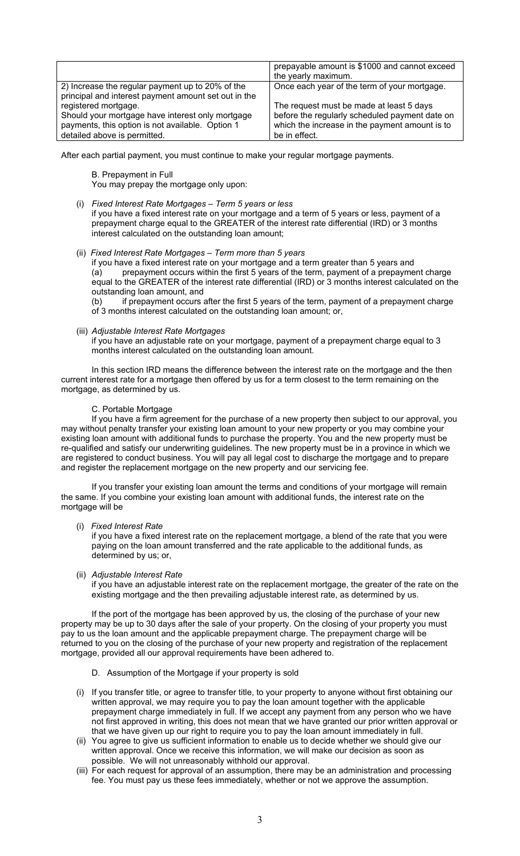|                                                                                                          | prepayable amount is \$1000 and cannot exceed<br>the yearly maximum.                             |
|----------------------------------------------------------------------------------------------------------|--------------------------------------------------------------------------------------------------|
| 2) Increase the regular payment up to 20% of the<br>principal and interest payment amount set out in the | Once each year of the term of your mortgage.                                                     |
| registered mortgage.                                                                                     | The request must be made at least 5 days                                                         |
| Should your mortgage have interest only mortgage<br>payments, this option is not available. Option 1     | before the regularly scheduled payment date on<br>which the increase in the payment amount is to |
| detailed above is permitted.                                                                             | be in effect.                                                                                    |

After each partial payment, you must continue to make your regular mortgage payments.

B. Prepayment in Full You may prepay the mortgage only upon:

(i) *Fixed Interest Rate Mortgages – Term 5 years or less* 

if you have a fixed interest rate on your mortgage and a term of 5 years or less, payment of a prepayment charge equal to the GREATER of the interest rate differential (IRD) or 3 months interest calculated on the outstanding loan amount;

(ii) *Fixed Interest Rate Mortgages – Term more than 5 years*

if you have a fixed interest rate on your mortgage and a term greater than 5 years and (a) prepayment occurs within the first 5 years of the term, payment of a prepayment charge equal to the GREATER of the interest rate differential (IRD) or 3 months interest calculated on the outstanding loan amount, and

(b) if prepayment occurs after the first 5 years of the term, payment of a prepayment charge of 3 months interest calculated on the outstanding loan amount; or,

(iii) *Adjustable Interest Rate Mortgages* 

if you have an adjustable rate on your mortgage, payment of a prepayment charge equal to 3 months interest calculated on the outstanding loan amount.

In this section IRD means the difference between the interest rate on the mortgage and the then current interest rate for a mortgage then offered by us for a term closest to the term remaining on the mortgage, as determined by us.

## C. Portable Mortgage

If you have a firm agreement for the purchase of a new property then subject to our approval, you may without penalty transfer your existing loan amount to your new property or you may combine your existing loan amount with additional funds to purchase the property. You and the new property must be re-qualified and satisfy our underwriting guidelines. The new property must be in a province in which we are registered to conduct business. You will pay all legal cost to discharge the mortgage and to prepare and register the replacement mortgage on the new property and our servicing fee.

If you transfer your existing loan amount the terms and conditions of your mortgage will remain the same. If you combine your existing loan amount with additional funds, the interest rate on the mortgage will be

(i) *Fixed Interest Rate* 

if you have a fixed interest rate on the replacement mortgage, a blend of the rate that you were paying on the loan amount transferred and the rate applicable to the additional funds, as determined by us; or,

#### (ii) *Adjustable Interest Rate*

if you have an adjustable interest rate on the replacement mortgage, the greater of the rate on the existing mortgage and the then prevailing adjustable interest rate, as determined by us.

If the port of the mortgage has been approved by us, the closing of the purchase of your new property may be up to 30 days after the sale of your property. On the closing of your property you must pay to us the loan amount and the applicable prepayment charge. The prepayment charge will be returned to you on the closing of the purchase of your new property and registration of the replacement mortgage, provided all our approval requirements have been adhered to.

- D. Assumption of the Mortgage if your property is sold
- (i) If you transfer title, or agree to transfer title, to your property to anyone without first obtaining our written approval, we may require you to pay the loan amount together with the applicable prepayment charge immediately in full. If we accept any payment from any person who we have not first approved in writing, this does not mean that we have granted our prior written approval or that we have given up our right to require you to pay the loan amount immediately in full.
- (ii) You agree to give us sufficient information to enable us to decide whether we should give our written approval. Once we receive this information, we will make our decision as soon as possible. We will not unreasonably withhold our approval.
- (iii) For each request for approval of an assumption, there may be an administration and processing fee. You must pay us these fees immediately, whether or not we approve the assumption.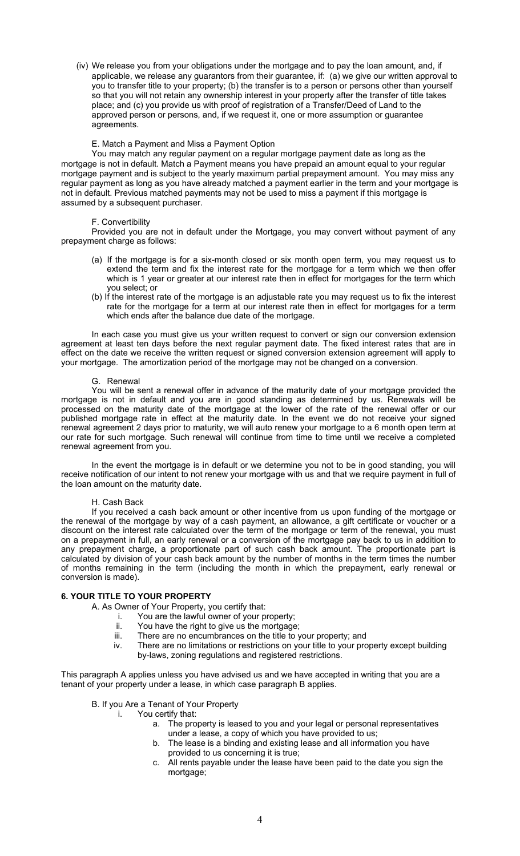(iv) We release you from your obligations under the mortgage and to pay the loan amount, and, if applicable, we release any guarantors from their guarantee, if: (a) we give our written approval to you to transfer title to your property; (b) the transfer is to a person or persons other than yourself so that you will not retain any ownership interest in your property after the transfer of title takes place; and (c) you provide us with proof of registration of a Transfer/Deed of Land to the approved person or persons, and, if we request it, one or more assumption or guarantee agreements.

#### E. Match a Payment and Miss a Payment Option

You may match any regular payment on a regular mortgage payment date as long as the mortgage is not in default. Match a Payment means you have prepaid an amount equal to your regular mortgage payment and is subject to the yearly maximum partial prepayment amount. You may miss any regular payment as long as you have already matched a payment earlier in the term and your mortgage is not in default. Previous matched payments may not be used to miss a payment if this mortgage is assumed by a subsequent purchaser.

#### F. Convertibility

Provided you are not in default under the Mortgage, you may convert without payment of any prepayment charge as follows:

- (a) If the mortgage is for a six-month closed or six month open term, you may request us to extend the term and fix the interest rate for the mortgage for a term which we then offer which is 1 year or greater at our interest rate then in effect for mortgages for the term which you select; or
- (b) If the interest rate of the mortgage is an adjustable rate you may request us to fix the interest rate for the mortgage for a term at our interest rate then in effect for mortgages for a term which ends after the balance due date of the mortgage.

In each case you must give us your written request to convert or sign our conversion extension agreement at least ten days before the next regular payment date. The fixed interest rates that are in effect on the date we receive the written request or signed conversion extension agreement will apply to your mortgage. The amortization period of the mortgage may not be changed on a conversion.

#### G. Renewal

You will be sent a renewal offer in advance of the maturity date of your mortgage provided the mortgage is not in default and you are in good standing as determined by us. Renewals will be processed on the maturity date of the mortgage at the lower of the rate of the renewal offer or our published mortgage rate in effect at the maturity date. In the event we do not receive your signed renewal agreement 2 days prior to maturity, we will auto renew your mortgage to a 6 month open term at our rate for such mortgage. Such renewal will continue from time to time until we receive a completed renewal agreement from you.

In the event the mortgage is in default or we determine you not to be in good standing, you will receive notification of our intent to not renew your mortgage with us and that we require payment in full of the loan amount on the maturity date.

#### H. Cash Back

 If you received a cash back amount or other incentive from us upon funding of the mortgage or the renewal of the mortgage by way of a cash payment, an allowance, a gift certificate or voucher or a discount on the interest rate calculated over the term of the mortgage or term of the renewal, you must on a prepayment in full, an early renewal or a conversion of the mortgage pay back to us in addition to any prepayment charge, a proportionate part of such cash back amount. The proportionate part is calculated by division of your cash back amount by the number of months in the term times the number of months remaining in the term (including the month in which the prepayment, early renewal or conversion is made).

#### **6. YOUR TITLE TO YOUR PROPERTY**

A. As Owner of Your Property, you certify that:

- i. You are the lawful owner of your property;
- ii. You have the right to give us the mortgage;
- iii. There are no encumbrances on the title to your property; and
- There are no limitations or restrictions on your title to your property except building by-laws, zoning regulations and registered restrictions.

This paragraph A applies unless you have advised us and we have accepted in writing that you are a tenant of your property under a lease, in which case paragraph B applies.

- B. If you Are a Tenant of Your Property
	- i. You certify that:
		- a. The property is leased to you and your legal or personal representatives under a lease, a copy of which you have provided to us;
		- b. The lease is a binding and existing lease and all information you have provided to us concerning it is true;
		- c. All rents payable under the lease have been paid to the date you sign the mortgage;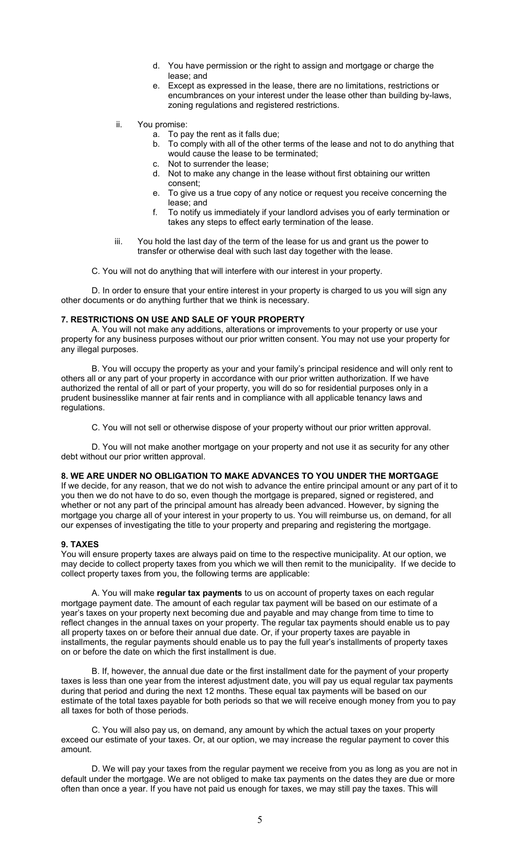- d. You have permission or the right to assign and mortgage or charge the lease; and
- e. Except as expressed in the lease, there are no limitations, restrictions or encumbrances on your interest under the lease other than building by-laws, zoning regulations and registered restrictions.
- ii. You promise:
	- a. To pay the rent as it falls due;
	- b. To comply with all of the other terms of the lease and not to do anything that would cause the lease to be terminated;
	- c. Not to surrender the lease;
	- d. Not to make any change in the lease without first obtaining our written consent;
	- e. To give us a true copy of any notice or request you receive concerning the lease; and
	- f. To notify us immediately if your landlord advises you of early termination or takes any steps to effect early termination of the lease.
- iii. You hold the last day of the term of the lease for us and grant us the power to transfer or otherwise deal with such last day together with the lease.
- C. You will not do anything that will interfere with our interest in your property.

D. In order to ensure that your entire interest in your property is charged to us you will sign any other documents or do anything further that we think is necessary.

#### **7. RESTRICTIONS ON USE AND SALE OF YOUR PROPERTY**

A. You will not make any additions, alterations or improvements to your property or use your property for any business purposes without our prior written consent. You may not use your property for any illegal purposes.

B. You will occupy the property as your and your family's principal residence and will only rent to others all or any part of your property in accordance with our prior written authorization. If we have authorized the rental of all or part of your property, you will do so for residential purposes only in a prudent businesslike manner at fair rents and in compliance with all applicable tenancy laws and regulations.

C. You will not sell or otherwise dispose of your property without our prior written approval.

D. You will not make another mortgage on your property and not use it as security for any other debt without our prior written approval.

#### **8. WE ARE UNDER NO OBLIGATION TO MAKE ADVANCES TO YOU UNDER THE MORTGAGE**

If we decide, for any reason, that we do not wish to advance the entire principal amount or any part of it to you then we do not have to do so, even though the mortgage is prepared, signed or registered, and whether or not any part of the principal amount has already been advanced. However, by signing the mortgage you charge all of your interest in your property to us. You will reimburse us, on demand, for all our expenses of investigating the title to your property and preparing and registering the mortgage.

#### **9. TAXES**

You will ensure property taxes are always paid on time to the respective municipality. At our option, we may decide to collect property taxes from you which we will then remit to the municipality. If we decide to collect property taxes from you, the following terms are applicable:

A. You will make **regular tax payments** to us on account of property taxes on each regular mortgage payment date. The amount of each regular tax payment will be based on our estimate of a year's taxes on your property next becoming due and payable and may change from time to time to reflect changes in the annual taxes on your property. The regular tax payments should enable us to pay all property taxes on or before their annual due date. Or, if your property taxes are payable in installments, the regular payments should enable us to pay the full year's installments of property taxes on or before the date on which the first installment is due.

B. If, however, the annual due date or the first installment date for the payment of your property taxes is less than one year from the interest adjustment date, you will pay us equal regular tax payments during that period and during the next 12 months. These equal tax payments will be based on our estimate of the total taxes payable for both periods so that we will receive enough money from you to pay all taxes for both of those periods.

C. You will also pay us, on demand, any amount by which the actual taxes on your property exceed our estimate of your taxes. Or, at our option, we may increase the regular payment to cover this amount.

D. We will pay your taxes from the regular payment we receive from you as long as you are not in default under the mortgage. We are not obliged to make tax payments on the dates they are due or more often than once a year. If you have not paid us enough for taxes, we may still pay the taxes. This will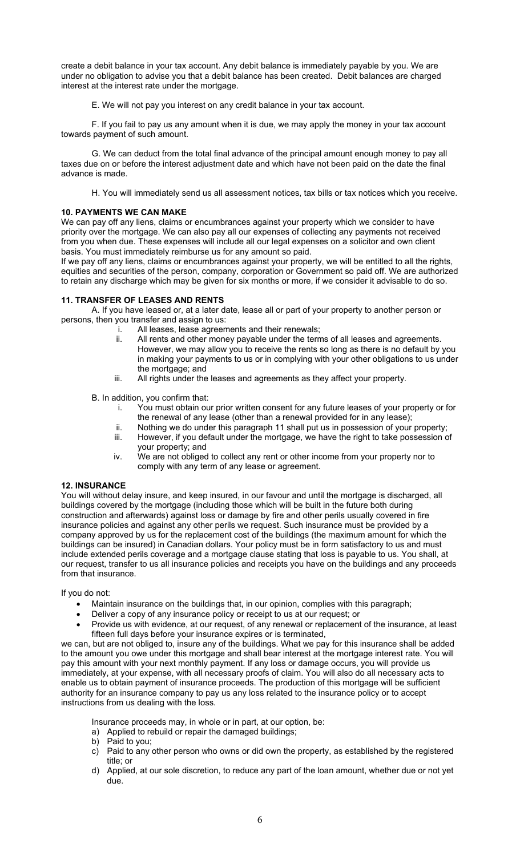create a debit balance in your tax account. Any debit balance is immediately payable by you. We are under no obligation to advise you that a debit balance has been created. Debit balances are charged interest at the interest rate under the mortgage.

E. We will not pay you interest on any credit balance in your tax account.

F. If you fail to pay us any amount when it is due, we may apply the money in your tax account towards payment of such amount.

G. We can deduct from the total final advance of the principal amount enough money to pay all taxes due on or before the interest adjustment date and which have not been paid on the date the final advance is made.

H. You will immediately send us all assessment notices, tax bills or tax notices which you receive.

#### **10. PAYMENTS WE CAN MAKE**

We can pay off any liens, claims or encumbrances against your property which we consider to have priority over the mortgage. We can also pay all our expenses of collecting any payments not received from you when due. These expenses will include all our legal expenses on a solicitor and own client basis. You must immediately reimburse us for any amount so paid.

If we pay off any liens, claims or encumbrances against your property, we will be entitled to all the rights, equities and securities of the person, company, corporation or Government so paid off. We are authorized to retain any discharge which may be given for six months or more, if we consider it advisable to do so.

## **11. TRANSFER OF LEASES AND RENTS**

A. If you have leased or, at a later date, lease all or part of your property to another person or persons, then you transfer and assign to us:

- i. All leases, lease agreements and their renewals;
- ii. All rents and other money payable under the terms of all leases and agreements. However, we may allow you to receive the rents so long as there is no default by you in making your payments to us or in complying with your other obligations to us under the mortgage; and
- iii. All rights under the leases and agreements as they affect your property.

B. In addition, you confirm that:

- i. You must obtain our prior written consent for any future leases of your property or for the renewal of any lease (other than a renewal provided for in any lease);
- ii. Nothing we do under this paragraph 11 shall put us in possession of your property;<br>iii. However, if you default under the mortgage, we have the right to take possession o However, if you default under the mortgage, we have the right to take possession of
- your property; and iv. We are not obliged to collect any rent or other income from your property nor to comply with any term of any lease or agreement.

## **12. INSURANCE**

You will without delay insure, and keep insured, in our favour and until the mortgage is discharged, all buildings covered by the mortgage (including those which will be built in the future both during construction and afterwards) against loss or damage by fire and other perils usually covered in fire insurance policies and against any other perils we request. Such insurance must be provided by a company approved by us for the replacement cost of the buildings (the maximum amount for which the buildings can be insured) in Canadian dollars. Your policy must be in form satisfactory to us and must include extended perils coverage and a mortgage clause stating that loss is payable to us. You shall, at our request, transfer to us all insurance policies and receipts you have on the buildings and any proceeds from that insurance.

If you do not:

- Maintain insurance on the buildings that, in our opinion, complies with this paragraph;
- Deliver a copy of any insurance policy or receipt to us at our request; or
- Provide us with evidence, at our request, of any renewal or replacement of the insurance, at least fifteen full days before your insurance expires or is terminated,

we can, but are not obliged to, insure any of the buildings. What we pay for this insurance shall be added to the amount you owe under this mortgage and shall bear interest at the mortgage interest rate. You will pay this amount with your next monthly payment. If any loss or damage occurs, you will provide us immediately, at your expense, with all necessary proofs of claim. You will also do all necessary acts to enable us to obtain payment of insurance proceeds. The production of this mortgage will be sufficient authority for an insurance company to pay us any loss related to the insurance policy or to accept instructions from us dealing with the loss.

Insurance proceeds may, in whole or in part, at our option, be:

- a) Applied to rebuild or repair the damaged buildings;
- b) Paid to you;
- c) Paid to any other person who owns or did own the property, as established by the registered title; or
- d) Applied, at our sole discretion, to reduce any part of the loan amount, whether due or not yet due.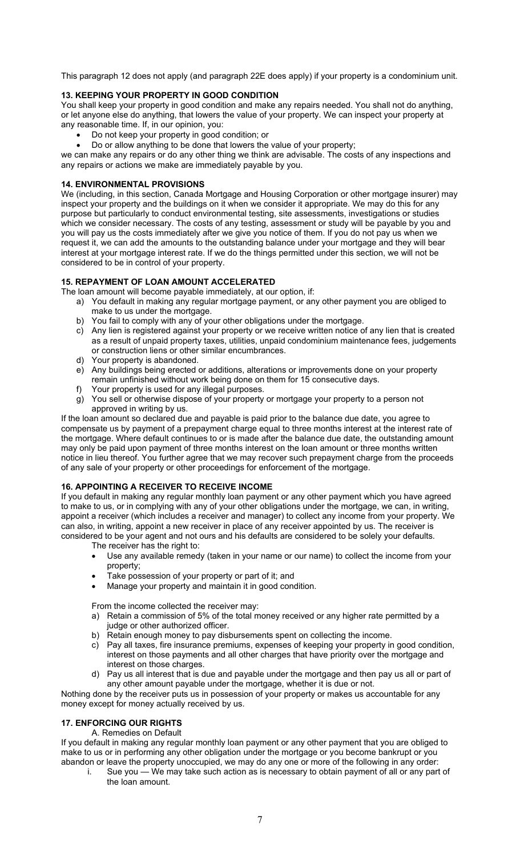This paragraph 12 does not apply (and paragraph 22E does apply) if your property is a condominium unit.

# **13. KEEPING YOUR PROPERTY IN GOOD CONDITION**

You shall keep your property in good condition and make any repairs needed. You shall not do anything, or let anyone else do anything, that lowers the value of your property. We can inspect your property at any reasonable time. If, in our opinion, you:

- Do not keep your property in good condition; or
- Do or allow anything to be done that lowers the value of your property;

we can make any repairs or do any other thing we think are advisable. The costs of any inspections and any repairs or actions we make are immediately payable by you.

# **14. ENVIRONMENTAL PROVISIONS**

We (including, in this section, Canada Mortgage and Housing Corporation or other mortgage insurer) may inspect your property and the buildings on it when we consider it appropriate. We may do this for any purpose but particularly to conduct environmental testing, site assessments, investigations or studies which we consider necessary. The costs of any testing, assessment or study will be payable by you and you will pay us the costs immediately after we give you notice of them. If you do not pay us when we request it, we can add the amounts to the outstanding balance under your mortgage and they will bear interest at your mortgage interest rate. If we do the things permitted under this section, we will not be considered to be in control of your property.

## **15. REPAYMENT OF LOAN AMOUNT ACCELERATED**

The loan amount will become payable immediately, at our option, if:

- a) You default in making any regular mortgage payment, or any other payment you are obliged to make to us under the mortgage.
- b) You fail to comply with any of your other obligations under the mortgage.
- c) Any lien is registered against your property or we receive written notice of any lien that is created as a result of unpaid property taxes, utilities, unpaid condominium maintenance fees, judgements or construction liens or other similar encumbrances.
- d) Your property is abandoned.
- e) Any buildings being erected or additions, alterations or improvements done on your property remain unfinished without work being done on them for 15 consecutive days.
- f) Your property is used for any illegal purposes.
- g) You sell or otherwise dispose of your property or mortgage your property to a person not approved in writing by us.

If the loan amount so declared due and payable is paid prior to the balance due date, you agree to compensate us by payment of a prepayment charge equal to three months interest at the interest rate of the mortgage. Where default continues to or is made after the balance due date, the outstanding amount may only be paid upon payment of three months interest on the loan amount or three months written notice in lieu thereof. You further agree that we may recover such prepayment charge from the proceeds of any sale of your property or other proceedings for enforcement of the mortgage.

## **16. APPOINTING A RECEIVER TO RECEIVE INCOME**

If you default in making any regular monthly loan payment or any other payment which you have agreed to make to us, or in complying with any of your other obligations under the mortgage, we can, in writing, appoint a receiver (which includes a receiver and manager) to collect any income from your property. We can also, in writing, appoint a new receiver in place of any receiver appointed by us. The receiver is considered to be your agent and not ours and his defaults are considered to be solely your defaults.

The receiver has the right to:

- Use any available remedy (taken in your name or our name) to collect the income from your property;
- Take possession of your property or part of it; and
- Manage your property and maintain it in good condition.

From the income collected the receiver may:

- a) Retain a commission of 5% of the total money received or any higher rate permitted by a judge or other authorized officer.
- b) Retain enough money to pay disbursements spent on collecting the income.
- c) Pay all taxes, fire insurance premiums, expenses of keeping your property in good condition, interest on those payments and all other charges that have priority over the mortgage and interest on those charges.
- d) Pay us all interest that is due and payable under the mortgage and then pay us all or part of any other amount payable under the mortgage, whether it is due or not.

Nothing done by the receiver puts us in possession of your property or makes us accountable for any money except for money actually received by us.

## **17. ENFORCING OUR RIGHTS**

A. Remedies on Default

If you default in making any regular monthly loan payment or any other payment that you are obliged to make to us or in performing any other obligation under the mortgage or you become bankrupt or you abandon or leave the property unoccupied, we may do any one or more of the following in any order:

i. Sue you — We may take such action as is necessary to obtain payment of all or any part of the loan amount.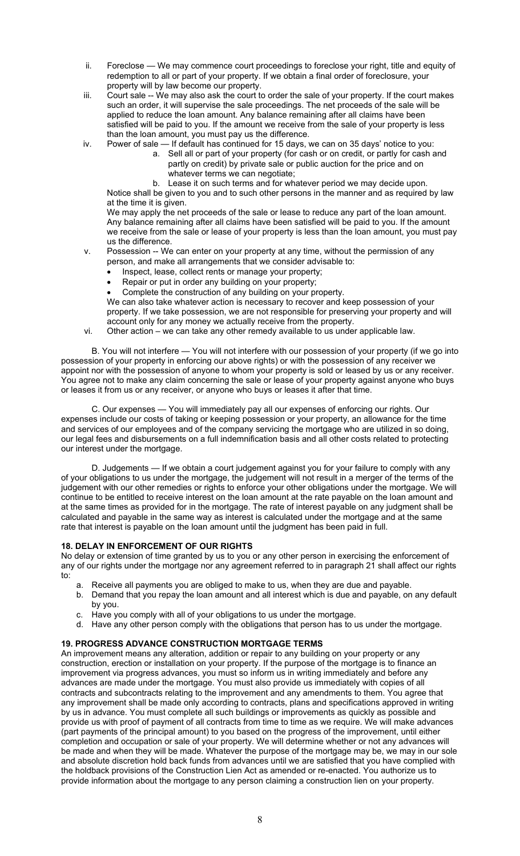- ii. Foreclose We may commence court proceedings to foreclose your right, title and equity of redemption to all or part of your property. If we obtain a final order of foreclosure, your property will by law become our property.
- iii. Court sale -- We may also ask the court to order the sale of your property. If the court makes such an order, it will supervise the sale proceedings. The net proceeds of the sale will be applied to reduce the loan amount. Any balance remaining after all claims have been satisfied will be paid to you. If the amount we receive from the sale of your property is less than the loan amount, you must pay us the difference.
- iv. Power of sale If default has continued for 15 days, we can on 35 days' notice to you:
	- a. Sell all or part of your property (for cash or on credit, or partly for cash and partly on credit) by private sale or public auction for the price and on whatever terms we can negotiate;
		- b. Lease it on such terms and for whatever period we may decide upon.

Notice shall be given to you and to such other persons in the manner and as required by law at the time it is given.

We may apply the net proceeds of the sale or lease to reduce any part of the loan amount. Any balance remaining after all claims have been satisfied will be paid to you. If the amount we receive from the sale or lease of your property is less than the loan amount, you must pay us the difference.

- v. Possession -- We can enter on your property at any time, without the permission of any person, and make all arrangements that we consider advisable to:
	- Inspect, lease, collect rents or manage your property;
	- Repair or put in order any building on your property;
	- Complete the construction of any building on your property.

We can also take whatever action is necessary to recover and keep possession of your property. If we take possession, we are not responsible for preserving your property and will account only for any money we actually receive from the property.

vi. Other action – we can take any other remedy available to us under applicable law.

B. You will not interfere — You will not interfere with our possession of your property (if we go into possession of your property in enforcing our above rights) or with the possession of any receiver we appoint nor with the possession of anyone to whom your property is sold or leased by us or any receiver. You agree not to make any claim concerning the sale or lease of your property against anyone who buys or leases it from us or any receiver, or anyone who buys or leases it after that time.

C. Our expenses — You will immediately pay all our expenses of enforcing our rights. Our expenses include our costs of taking or keeping possession or your property, an allowance for the time and services of our employees and of the company servicing the mortgage who are utilized in so doing, our legal fees and disbursements on a full indemnification basis and all other costs related to protecting our interest under the mortgage.

D. Judgements — If we obtain a court judgement against you for your failure to comply with any of your obligations to us under the mortgage, the judgement will not result in a merger of the terms of the judgement with our other remedies or rights to enforce your other obligations under the mortgage. We will continue to be entitled to receive interest on the loan amount at the rate payable on the loan amount and at the same times as provided for in the mortgage. The rate of interest payable on any judgment shall be calculated and payable in the same way as interest is calculated under the mortgage and at the same rate that interest is payable on the loan amount until the judgment has been paid in full.

## **18. DELAY IN ENFORCEMENT OF OUR RIGHTS**

No delay or extension of time granted by us to you or any other person in exercising the enforcement of any of our rights under the mortgage nor any agreement referred to in paragraph 21 shall affect our rights to:

- a. Receive all payments you are obliged to make to us, when they are due and payable.
- b. Demand that you repay the loan amount and all interest which is due and payable, on any default by you.
- c. Have you comply with all of your obligations to us under the mortgage.
- d. Have any other person comply with the obligations that person has to us under the mortgage.

## **19. PROGRESS ADVANCE CONSTRUCTION MORTGAGE TERMS**

An improvement means any alteration, addition or repair to any building on your property or any construction, erection or installation on your property. If the purpose of the mortgage is to finance an improvement via progress advances, you must so inform us in writing immediately and before any advances are made under the mortgage. You must also provide us immediately with copies of all contracts and subcontracts relating to the improvement and any amendments to them. You agree that any improvement shall be made only according to contracts, plans and specifications approved in writing by us in advance. You must complete all such buildings or improvements as quickly as possible and provide us with proof of payment of all contracts from time to time as we require. We will make advances (part payments of the principal amount) to you based on the progress of the improvement, until either completion and occupation or sale of your property. We will determine whether or not any advances will be made and when they will be made. Whatever the purpose of the mortgage may be, we may in our sole and absolute discretion hold back funds from advances until we are satisfied that you have complied with the holdback provisions of the Construction Lien Act as amended or re-enacted. You authorize us to provide information about the mortgage to any person claiming a construction lien on your property.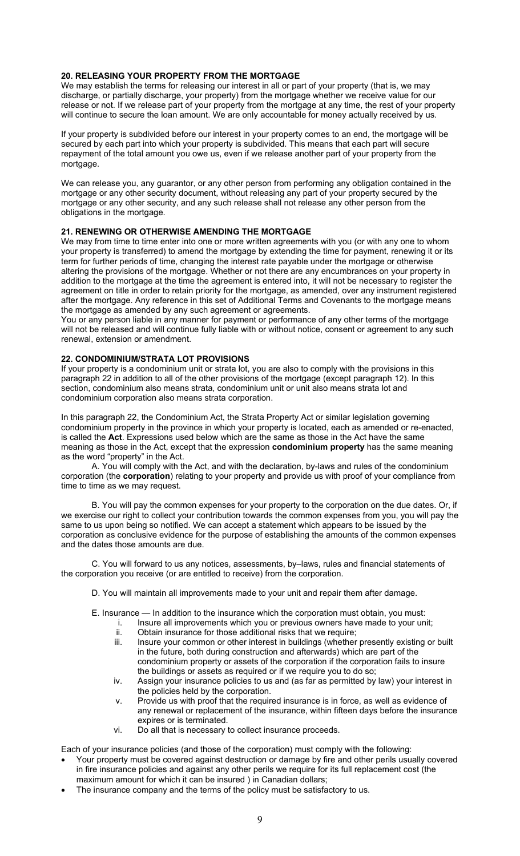## **20. RELEASING YOUR PROPERTY FROM THE MORTGAGE**

We may establish the terms for releasing our interest in all or part of your property (that is, we may discharge, or partially discharge, your property) from the mortgage whether we receive value for our release or not. If we release part of your property from the mortgage at any time, the rest of your property will continue to secure the loan amount. We are only accountable for money actually received by us.

If your property is subdivided before our interest in your property comes to an end, the mortgage will be secured by each part into which your property is subdivided. This means that each part will secure repayment of the total amount you owe us, even if we release another part of your property from the mortgage.

We can release you, any guarantor, or any other person from performing any obligation contained in the mortgage or any other security document, without releasing any part of your property secured by the mortgage or any other security, and any such release shall not release any other person from the obligations in the mortgage.

## **21. RENEWING OR OTHERWISE AMENDING THE MORTGAGE**

We may from time to time enter into one or more written agreements with you (or with any one to whom your property is transferred) to amend the mortgage by extending the time for payment, renewing it or its term for further periods of time, changing the interest rate payable under the mortgage or otherwise altering the provisions of the mortgage. Whether or not there are any encumbrances on your property in addition to the mortgage at the time the agreement is entered into, it will not be necessary to register the agreement on title in order to retain priority for the mortgage, as amended, over any instrument registered after the mortgage. Any reference in this set of Additional Terms and Covenants to the mortgage means the mortgage as amended by any such agreement or agreements.

You or any person liable in any manner for payment or performance of any other terms of the mortgage will not be released and will continue fully liable with or without notice, consent or agreement to any such renewal, extension or amendment.

#### **22. CONDOMINIUM/STRATA LOT PROVISIONS**

If your property is a condominium unit or strata lot, you are also to comply with the provisions in this paragraph 22 in addition to all of the other provisions of the mortgage (except paragraph 12). In this section, condominium also means strata, condominium unit or unit also means strata lot and condominium corporation also means strata corporation.

In this paragraph 22, the Condominium Act, the Strata Property Act or similar legislation governing condominium property in the province in which your property is located, each as amended or re-enacted, is called the **Act**. Expressions used below which are the same as those in the Act have the same meaning as those in the Act, except that the expression **condominium property** has the same meaning as the word "property" in the Act.

A. You will comply with the Act, and with the declaration, by-laws and rules of the condominium corporation (the **corporation**) relating to your property and provide us with proof of your compliance from time to time as we may request.

B. You will pay the common expenses for your property to the corporation on the due dates. Or, if we exercise our right to collect your contribution towards the common expenses from you, you will pay the same to us upon being so notified. We can accept a statement which appears to be issued by the corporation as conclusive evidence for the purpose of establishing the amounts of the common expenses and the dates those amounts are due.

C. You will forward to us any notices, assessments, by–laws, rules and financial statements of the corporation you receive (or are entitled to receive) from the corporation.

- D. You will maintain all improvements made to your unit and repair them after damage.
- E. Insurance In addition to the insurance which the corporation must obtain, you must:
	- i. Insure all improvements which you or previous owners have made to your unit;
	- ii. Obtain insurance for those additional risks that we require;
	- iii. Insure your common or other interest in buildings (whether presently existing or built in the future, both during construction and afterwards) which are part of the condominium property or assets of the corporation if the corporation fails to insure the buildings or assets as required or if we require you to do so;
	- iv. Assign your insurance policies to us and (as far as permitted by law) your interest in the policies held by the corporation.
	- v. Provide us with proof that the required insurance is in force, as well as evidence of any renewal or replacement of the insurance, within fifteen days before the insurance expires or is terminated.
	- vi. Do all that is necessary to collect insurance proceeds.

Each of your insurance policies (and those of the corporation) must comply with the following:

- Your property must be covered against destruction or damage by fire and other perils usually covered in fire insurance policies and against any other perils we require for its full replacement cost (the maximum amount for which it can be insured ) in Canadian dollars;
- The insurance company and the terms of the policy must be satisfactory to us.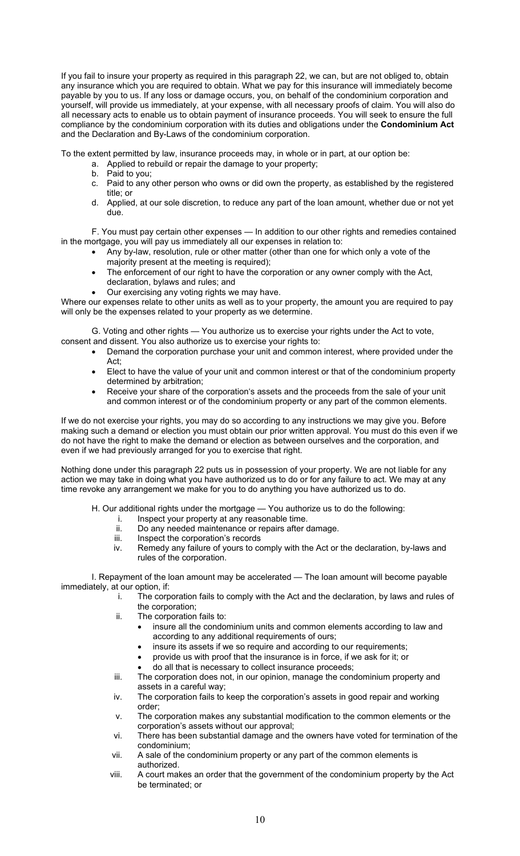If you fail to insure your property as required in this paragraph 22, we can, but are not obliged to, obtain any insurance which you are required to obtain. What we pay for this insurance will immediately become payable by you to us. If any loss or damage occurs, you, on behalf of the condominium corporation and yourself, will provide us immediately, at your expense, with all necessary proofs of claim. You will also do all necessary acts to enable us to obtain payment of insurance proceeds. You will seek to ensure the full compliance by the condominium corporation with its duties and obligations under the **Condominium Act**  and the Declaration and By-Laws of the condominium corporation.

To the extent permitted by law, insurance proceeds may, in whole or in part, at our option be:

- a. Applied to rebuild or repair the damage to your property;
- b. Paid to you;
- c. Paid to any other person who owns or did own the property, as established by the registered title; or
- d. Applied, at our sole discretion, to reduce any part of the loan amount, whether due or not yet due.

F. You must pay certain other expenses — In addition to our other rights and remedies contained in the mortgage, you will pay us immediately all our expenses in relation to:

- Any by-law, resolution, rule or other matter (other than one for which only a vote of the majority present at the meeting is required);
- The enforcement of our right to have the corporation or any owner comply with the Act, declaration, bylaws and rules; and
- Our exercising any voting rights we may have.

Where our expenses relate to other units as well as to your property, the amount you are required to pay will only be the expenses related to your property as we determine.

G. Voting and other rights — You authorize us to exercise your rights under the Act to vote, consent and dissent. You also authorize us to exercise your rights to:

- Demand the corporation purchase your unit and common interest, where provided under the Act;
- Elect to have the value of your unit and common interest or that of the condominium property determined by arbitration;
- Receive your share of the corporation's assets and the proceeds from the sale of your unit and common interest or of the condominium property or any part of the common elements.

If we do not exercise your rights, you may do so according to any instructions we may give you. Before making such a demand or election you must obtain our prior written approval. You must do this even if we do not have the right to make the demand or election as between ourselves and the corporation, and even if we had previously arranged for you to exercise that right.

Nothing done under this paragraph 22 puts us in possession of your property. We are not liable for any action we may take in doing what you have authorized us to do or for any failure to act. We may at any time revoke any arrangement we make for you to do anything you have authorized us to do.

H. Our additional rights under the mortgage — You authorize us to do the following:

- Inspect your property at any reasonable time.
- ii. Do any needed maintenance or repairs after damage.
- iii. Inspect the corporation's records
- iv. Remedy any failure of yours to comply with the Act or the declaration, by-laws and rules of the corporation.

I. Repayment of the loan amount may be accelerated — The loan amount will become payable immediately, at our option, if:

- i. The corporation fails to comply with the Act and the declaration, by laws and rules of the corporation;
- ii. The corporation fails to:
	- insure all the condominium units and common elements according to law and according to any additional requirements of ours;
	- insure its assets if we so require and according to our requirements;
	- provide us with proof that the insurance is in force, if we ask for it; or
	- do all that is necessary to collect insurance proceeds;
- iii. The corporation does not, in our opinion, manage the condominium property and assets in a careful way;
- iv. The corporation fails to keep the corporation's assets in good repair and working order;
- v. The corporation makes any substantial modification to the common elements or the corporation's assets without our approval;
- vi. There has been substantial damage and the owners have voted for termination of the condominium;
- vii. A sale of the condominium property or any part of the common elements is authorized.
- viii. A court makes an order that the government of the condominium property by the Act be terminated; or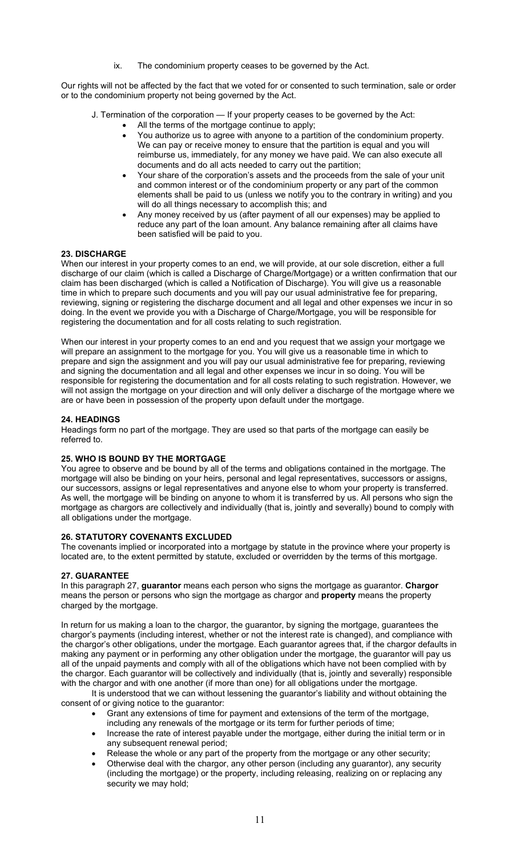ix. The condominium property ceases to be governed by the Act.

Our rights will not be affected by the fact that we voted for or consented to such termination, sale or order or to the condominium property not being governed by the Act.

J. Termination of the corporation — If your property ceases to be governed by the Act:

- All the terms of the mortgage continue to apply;
- You authorize us to agree with anyone to a partition of the condominium property. We can pay or receive money to ensure that the partition is equal and you will reimburse us, immediately, for any money we have paid. We can also execute all documents and do all acts needed to carry out the partition;
- Your share of the corporation's assets and the proceeds from the sale of your unit and common interest or of the condominium property or any part of the common elements shall be paid to us (unless we notify you to the contrary in writing) and you will do all things necessary to accomplish this; and
- Any money received by us (after payment of all our expenses) may be applied to reduce any part of the loan amount. Any balance remaining after all claims have been satisfied will be paid to you.

## **23. DISCHARGE**

When our interest in your property comes to an end, we will provide, at our sole discretion, either a full discharge of our claim (which is called a Discharge of Charge/Mortgage) or a written confirmation that our claim has been discharged (which is called a Notification of Discharge). You will give us a reasonable time in which to prepare such documents and you will pay our usual administrative fee for preparing, reviewing, signing or registering the discharge document and all legal and other expenses we incur in so doing. In the event we provide you with a Discharge of Charge/Mortgage, you will be responsible for registering the documentation and for all costs relating to such registration.

When our interest in your property comes to an end and you request that we assign your mortgage we will prepare an assignment to the mortgage for you. You will give us a reasonable time in which to prepare and sign the assignment and you will pay our usual administrative fee for preparing, reviewing and signing the documentation and all legal and other expenses we incur in so doing. You will be responsible for registering the documentation and for all costs relating to such registration. However, we will not assign the mortgage on your direction and will only deliver a discharge of the mortgage where we are or have been in possession of the property upon default under the mortgage.

## **24. HEADINGS**

Headings form no part of the mortgage. They are used so that parts of the mortgage can easily be referred to.

## **25. WHO IS BOUND BY THE MORTGAGE**

You agree to observe and be bound by all of the terms and obligations contained in the mortgage. The mortgage will also be binding on your heirs, personal and legal representatives, successors or assigns, our successors, assigns or legal representatives and anyone else to whom your property is transferred. As well, the mortgage will be binding on anyone to whom it is transferred by us. All persons who sign the mortgage as chargors are collectively and individually (that is, jointly and severally) bound to comply with all obligations under the mortgage.

## **26. STATUTORY COVENANTS EXCLUDED**

The covenants implied or incorporated into a mortgage by statute in the province where your property is located are, to the extent permitted by statute, excluded or overridden by the terms of this mortgage.

## **27. GUARANTEE**

In this paragraph 27, **guarantor** means each person who signs the mortgage as guarantor. **Chargor**  means the person or persons who sign the mortgage as chargor and **property** means the property charged by the mortgage.

In return for us making a loan to the chargor, the guarantor, by signing the mortgage, guarantees the chargor's payments (including interest, whether or not the interest rate is changed), and compliance with the chargor's other obligations, under the mortgage. Each guarantor agrees that, if the chargor defaults in making any payment or in performing any other obligation under the mortgage, the guarantor will pay us all of the unpaid payments and comply with all of the obligations which have not been complied with by the chargor. Each guarantor will be collectively and individually (that is, jointly and severally) responsible with the chargor and with one another (if more than one) for all obligations under the mortgage.

It is understood that we can without lessening the guarantor's liability and without obtaining the consent of or giving notice to the guarantor:

- Grant any extensions of time for payment and extensions of the term of the mortgage, including any renewals of the mortgage or its term for further periods of time;
- Increase the rate of interest payable under the mortgage, either during the initial term or in any subsequent renewal period;
- Release the whole or any part of the property from the mortgage or any other security;
- Otherwise deal with the chargor, any other person (including any guarantor), any security (including the mortgage) or the property, including releasing, realizing on or replacing any security we may hold;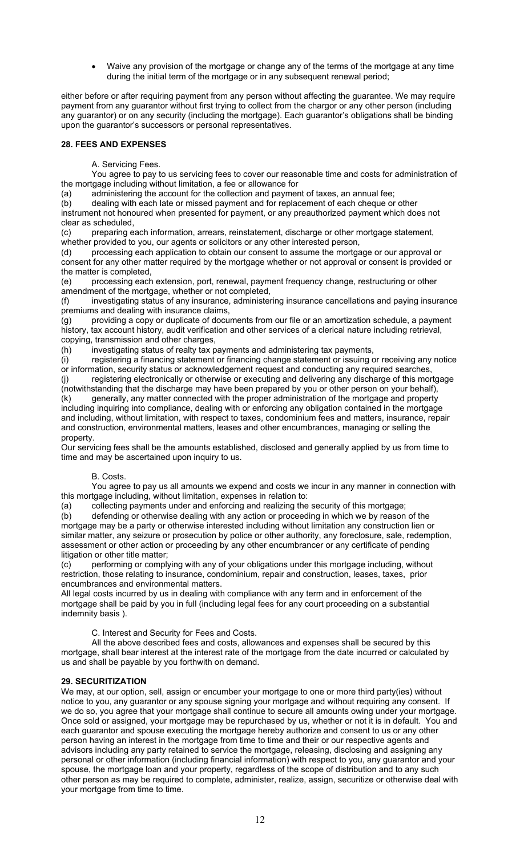• Waive any provision of the mortgage or change any of the terms of the mortgage at any time during the initial term of the mortgage or in any subsequent renewal period;

either before or after requiring payment from any person without affecting the guarantee. We may require payment from any guarantor without first trying to collect from the chargor or any other person (including any guarantor) or on any security (including the mortgage). Each guarantor's obligations shall be binding upon the guarantor's successors or personal representatives.

# **28. FEES AND EXPENSES**

A. Servicing Fees.

 You agree to pay to us servicing fees to cover our reasonable time and costs for administration of the mortgage including without limitation, a fee or allowance for

(a) administering the account for the collection and payment of taxes, an annual fee;

(b) dealing with each late or missed payment and for replacement of each cheque or other instrument not honoured when presented for payment, or any preauthorized payment which does not clear as scheduled,

(c) preparing each information, arrears, reinstatement, discharge or other mortgage statement, whether provided to you, our agents or solicitors or any other interested person,

(d) processing each application to obtain our consent to assume the mortgage or our approval or consent for any other matter required by the mortgage whether or not approval or consent is provided or the matter is completed,

(e) processing each extension, port, renewal, payment frequency change, restructuring or other amendment of the mortgage, whether or not completed,

(f) investigating status of any insurance, administering insurance cancellations and paying insurance premiums and dealing with insurance claims,

(g) providing a copy or duplicate of documents from our file or an amortization schedule, a payment history, tax account history, audit verification and other services of a clerical nature including retrieval, copying, transmission and other charges,

(h) investigating status of realty tax payments and administering tax payments,

(i) registering a financing statement or financing change statement or issuing or receiving any notice or information, security status or acknowledgement request and conducting any required searches, (j) registering electronically or otherwise or executing and delivering any discharge of this mortgage

(notwithstanding that the discharge may have been prepared by you or other person on your behalf), (k) generally, any matter connected with the proper administration of the mortgage and property including inquiring into compliance, dealing with or enforcing any obligation contained in the mortgage and including, without limitation, with respect to taxes, condominium fees and matters, insurance, repair and construction, environmental matters, leases and other encumbrances, managing or selling the property.

Our servicing fees shall be the amounts established, disclosed and generally applied by us from time to time and may be ascertained upon inquiry to us.

## B. Costs.

 You agree to pay us all amounts we expend and costs we incur in any manner in connection with this mortgage including, without limitation, expenses in relation to:

(a) collecting payments under and enforcing and realizing the security of this mortgage;

(b) defending or otherwise dealing with any action or proceeding in which we by reason of the mortgage may be a party or otherwise interested including without limitation any construction lien or similar matter, any seizure or prosecution by police or other authority, any foreclosure, sale, redemption, assessment or other action or proceeding by any other encumbrancer or any certificate of pending litigation or other title matter;

(c) performing or complying with any of your obligations under this mortgage including, without restriction, those relating to insurance, condominium, repair and construction, leases, taxes, prior encumbrances and environmental matters.

All legal costs incurred by us in dealing with compliance with any term and in enforcement of the mortgage shall be paid by you in full (including legal fees for any court proceeding on a substantial indemnity basis ).

C. Interest and Security for Fees and Costs.

 All the above described fees and costs, allowances and expenses shall be secured by this mortgage, shall bear interest at the interest rate of the mortgage from the date incurred or calculated by us and shall be payable by you forthwith on demand.

## **29. SECURITIZATION**

We may, at our option, sell, assign or encumber your mortgage to one or more third party(ies) without notice to you, any guarantor or any spouse signing your mortgage and without requiring any consent. If we do so, you agree that your mortgage shall continue to secure all amounts owing under your mortgage. Once sold or assigned, your mortgage may be repurchased by us, whether or not it is in default. You and each guarantor and spouse executing the mortgage hereby authorize and consent to us or any other person having an interest in the mortgage from time to time and their or our respective agents and advisors including any party retained to service the mortgage, releasing, disclosing and assigning any personal or other information (including financial information) with respect to you, any guarantor and your spouse, the mortgage loan and your property, regardless of the scope of distribution and to any such other person as may be required to complete, administer, realize, assign, securitize or otherwise deal with your mortgage from time to time.